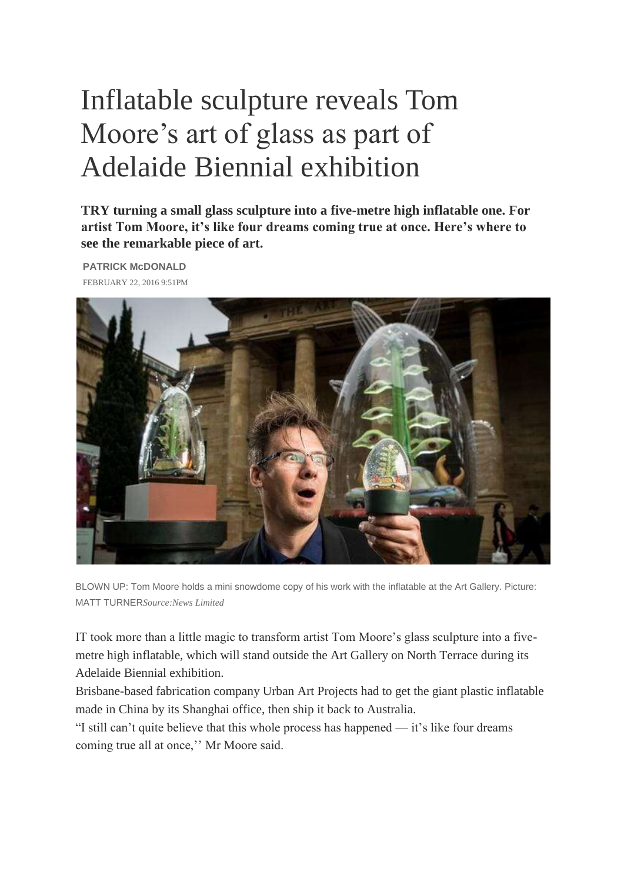## Inflatable sculpture reveals Tom Moore's art of glass as part of Adelaide Biennial exhibition

**TRY turning a small glass sculpture into a five-metre high inflatable one. For artist Tom Moore, it's like four dreams coming true at once. Here's where to see the remarkable piece of art.**

**PATRICK McDONALD** FEBRUARY 22, 2016 9:51PM



BLOWN UP: Tom Moore holds a mini snowdome copy of his work with the inflatable at the Art Gallery. Picture: MATT TURNER*Source:News Limited*

IT took more than a little magic to transform artist Tom Moore's glass sculpture into a fivemetre high inflatable, which will stand outside the Art Gallery on North Terrace during its Adelaide Biennial exhibition.

Brisbane-based fabrication company Urban Art Projects had to get the giant plastic inflatable made in China by its Shanghai office, then ship it back to Australia.

"I still can't quite believe that this whole process has happened — it's like four dreams coming true all at once,'' Mr Moore said.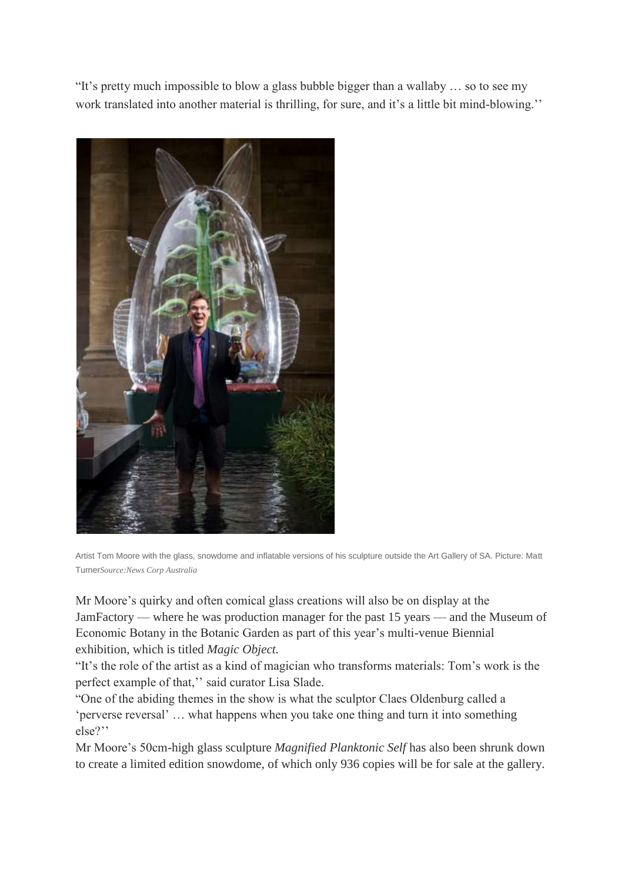"It's pretty much impossible to blow a glass bubble bigger than a wallaby … so to see my work translated into another material is thrilling, for sure, and it's a little bit mind-blowing.''



Artist Tom Moore with the glass, snowdome and inflatable versions of his sculpture outside the Art Gallery of SA. Picture: Matt Turner*Source:News Corp Australia*

Mr Moore's quirky and often comical glass creations will also be on display at the JamFactory — where he was production manager for the past 15 years — and the Museum of Economic Botany in the Botanic Garden as part of this year's multi-venue Biennial exhibition, which is titled *Magic Object.*

"It's the role of the artist as a kind of magician who transforms materials: Tom's work is the perfect example of that,'' said curator Lisa Slade.

"One of the abiding themes in the show is what the sculptor Claes Oldenburg called a 'perverse reversal' … what happens when you take one thing and turn it into something else?''

Mr Moore's 50cm-high glass sculpture *Magnified Planktonic Self* has also been shrunk down to create a limited edition snowdome, of which only 936 copies will be for sale at the gallery.